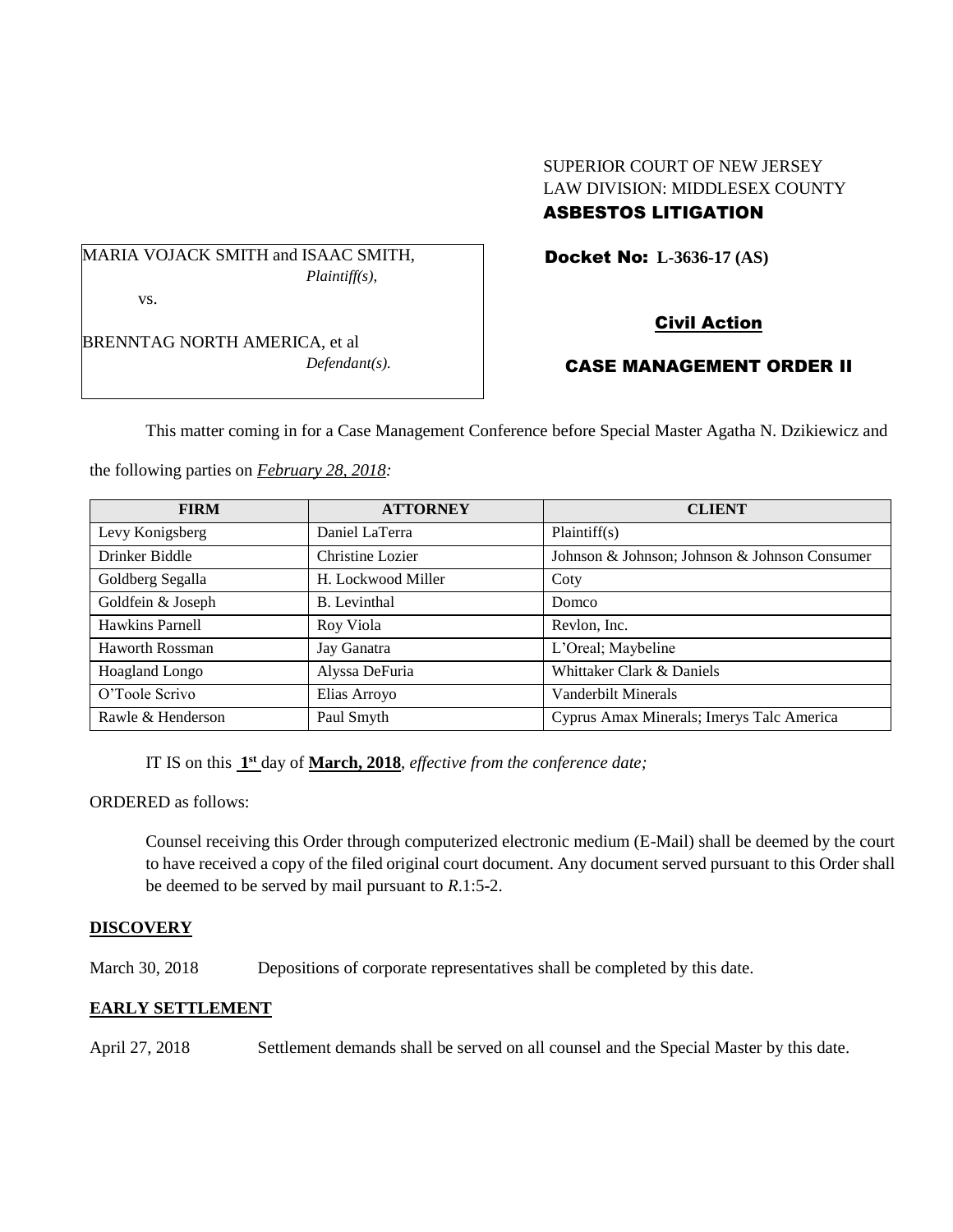## SUPERIOR COURT OF NEW JERSEY LAW DIVISION: MIDDLESEX COUNTY ASBESTOS LITIGATION

MARIA VOJACK SMITH and ISAAC SMITH, *Plaintiff(s),* vs.

Docket No: **L-3636-17 (AS)** 

BRENNTAG NORTH AMERICA, et al *Defendant(s).*

# Civil Action

# CASE MANAGEMENT ORDER II

This matter coming in for a Case Management Conference before Special Master Agatha N. Dzikiewicz and

the following parties on *February 28, 2018:*

| <b>FIRM</b>            | <b>ATTORNEY</b>     | <b>CLIENT</b>                                 |
|------------------------|---------------------|-----------------------------------------------|
| Levy Konigsberg        | Daniel LaTerra      | Plaintiff(s)                                  |
| Drinker Biddle         | Christine Lozier    | Johnson & Johnson; Johnson & Johnson Consumer |
| Goldberg Segalla       | H. Lockwood Miller  | Coty                                          |
| Goldfein & Joseph      | <b>B.</b> Levinthal | Domco                                         |
| Hawkins Parnell        | Roy Viola           | Revlon, Inc.                                  |
| <b>Haworth Rossman</b> | Jay Ganatra         | L'Oreal; Maybeline                            |
| <b>Hoagland Longo</b>  | Alyssa DeFuria      | Whittaker Clark & Daniels                     |
| O'Toole Scrivo         | Elias Arroyo        | Vanderbilt Minerals                           |
| Rawle & Henderson      | Paul Smyth          | Cyprus Amax Minerals; Imerys Talc America     |

IT IS on this  $1<sup>st</sup>$  day of **March, 2018**, *effective from the conference date*;

ORDERED as follows:

Counsel receiving this Order through computerized electronic medium (E-Mail) shall be deemed by the court to have received a copy of the filed original court document. Any document served pursuant to this Order shall be deemed to be served by mail pursuant to *R*.1:5-2.

## **DISCOVERY**

March 30, 2018 Depositions of corporate representatives shall be completed by this date.

# **EARLY SETTLEMENT**

April 27, 2018 Settlement demands shall be served on all counsel and the Special Master by this date.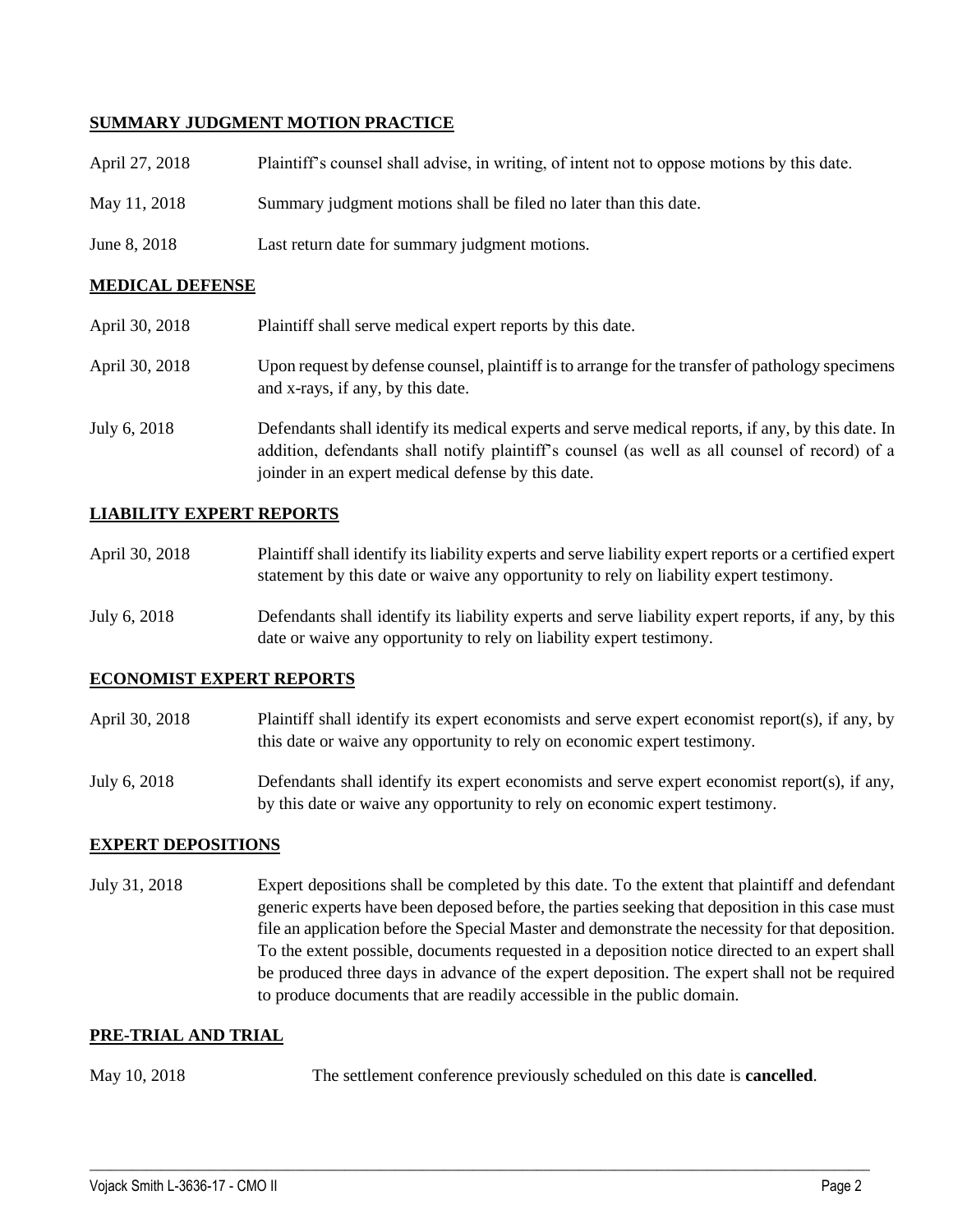### **SUMMARY JUDGMENT MOTION PRACTICE**

| April 27, 2018 | Plaintiff's counsel shall advise, in writing, of intent not to oppose motions by this date. |
|----------------|---------------------------------------------------------------------------------------------|
| May 11, 2018   | Summary judgment motions shall be filed no later than this date.                            |
| June 8, 2018   | Last return date for summary judgment motions.                                              |

#### **MEDICAL DEFENSE**

| April 30, 2018 | Plaintiff shall serve medical expert reports by this date.                                                                                                                                                                                               |
|----------------|----------------------------------------------------------------------------------------------------------------------------------------------------------------------------------------------------------------------------------------------------------|
| April 30, 2018 | Upon request by defense counsel, plaintiff is to arrange for the transfer of pathology specimens<br>and x-rays, if any, by this date.                                                                                                                    |
| July 6, 2018   | Defendants shall identify its medical experts and serve medical reports, if any, by this date. In<br>addition, defendants shall notify plaintiff's counsel (as well as all counsel of record) of a<br>joinder in an expert medical defense by this date. |

## **LIABILITY EXPERT REPORTS**

| April 30, 2018 | Plaintiff shall identify its liability experts and serve liability expert reports or a certified expert |
|----------------|---------------------------------------------------------------------------------------------------------|
|                | statement by this date or waive any opportunity to rely on liability expert testimony.                  |

July 6, 2018 Defendants shall identify its liability experts and serve liability expert reports, if any, by this date or waive any opportunity to rely on liability expert testimony.

#### **ECONOMIST EXPERT REPORTS**

- April 30, 2018 Plaintiff shall identify its expert economists and serve expert economist report(s), if any, by this date or waive any opportunity to rely on economic expert testimony.
- July 6, 2018 Defendants shall identify its expert economists and serve expert economist report(s), if any, by this date or waive any opportunity to rely on economic expert testimony.

#### **EXPERT DEPOSITIONS**

July 31, 2018 Expert depositions shall be completed by this date. To the extent that plaintiff and defendant generic experts have been deposed before, the parties seeking that deposition in this case must file an application before the Special Master and demonstrate the necessity for that deposition. To the extent possible, documents requested in a deposition notice directed to an expert shall be produced three days in advance of the expert deposition. The expert shall not be required to produce documents that are readily accessible in the public domain.

#### **PRE-TRIAL AND TRIAL**

May 10, 2018 The settlement conference previously scheduled on this date is **cancelled**.

 $\_$  ,  $\_$  ,  $\_$  ,  $\_$  ,  $\_$  ,  $\_$  ,  $\_$  ,  $\_$  ,  $\_$  ,  $\_$  ,  $\_$  ,  $\_$  ,  $\_$  ,  $\_$  ,  $\_$  ,  $\_$  ,  $\_$  ,  $\_$  ,  $\_$  ,  $\_$  ,  $\_$  ,  $\_$  ,  $\_$  ,  $\_$  ,  $\_$  ,  $\_$  ,  $\_$  ,  $\_$  ,  $\_$  ,  $\_$  ,  $\_$  ,  $\_$  ,  $\_$  ,  $\_$  ,  $\_$  ,  $\_$  ,  $\_$  ,